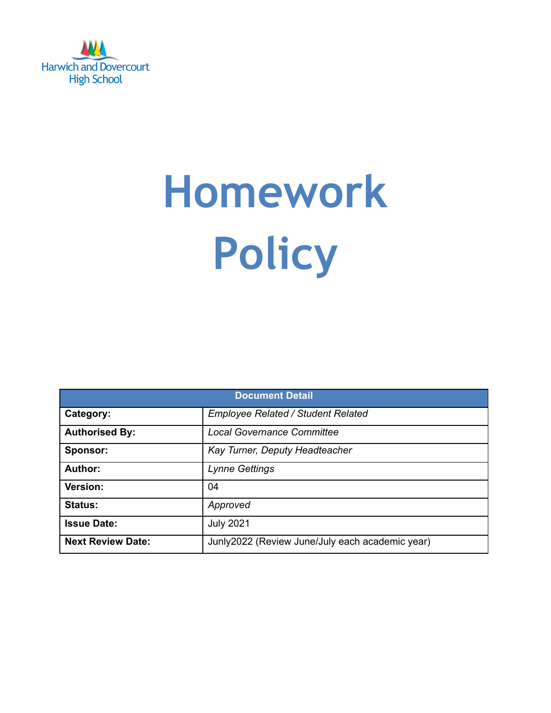

# **Homework Policy**

| <b>Document Detail</b>   |                                                 |  |  |  |
|--------------------------|-------------------------------------------------|--|--|--|
| Category:                | <b>Employee Related / Student Related</b>       |  |  |  |
| <b>Authorised By:</b>    | <b>Local Governance Committee</b>               |  |  |  |
| Sponsor:                 | Kay Turner, Deputy Headteacher                  |  |  |  |
| Author:                  | <b>Lynne Gettings</b>                           |  |  |  |
| Version:                 | 04                                              |  |  |  |
| <b>Status:</b>           | Approved                                        |  |  |  |
| <b>Issue Date:</b>       | <b>July 2021</b>                                |  |  |  |
| <b>Next Review Date:</b> | Junly2022 (Review June/July each academic year) |  |  |  |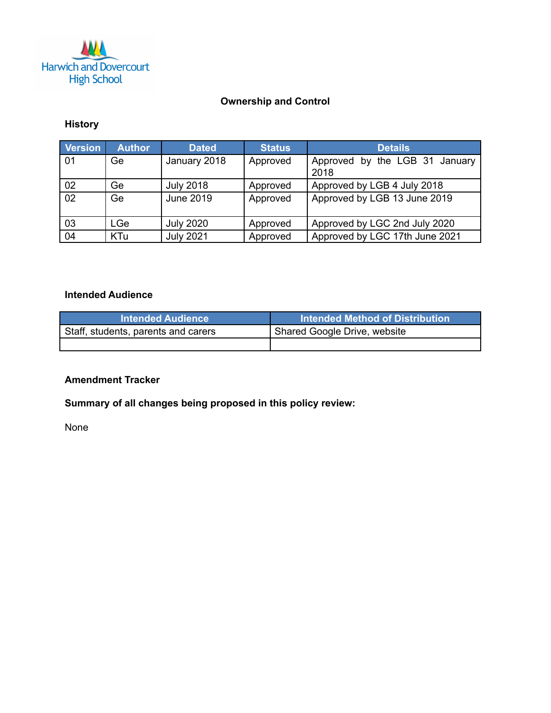

# **Ownership and Control**

### **History**

| <b>Version</b> | <b>Author</b> | <b>Dated</b>     | <b>Status</b> | <b>Details</b>                         |
|----------------|---------------|------------------|---------------|----------------------------------------|
| 01             | Ge            | January 2018     | Approved      | Approved by the LGB 31 January<br>2018 |
| 02             | Ge            | <b>July 2018</b> | Approved      | Approved by LGB 4 July 2018            |
| 02             | Ge            | June 2019        | Approved      | Approved by LGB 13 June 2019           |
| 03             | LGe           | <b>July 2020</b> | Approved      | Approved by LGC 2nd July 2020          |
| 04             | <b>KTu</b>    | <b>July 2021</b> | Approved      | Approved by LGC 17th June 2021         |

## **Intended Audience**

| <b>Intended Audience</b>            | <b>Intended Method of Distribution</b> |
|-------------------------------------|----------------------------------------|
| Staff, students, parents and carers | I Shared Google Drive, website         |
|                                     |                                        |

#### **Amendment Tracker**

# **Summary of all changes being proposed in this policy review:**

None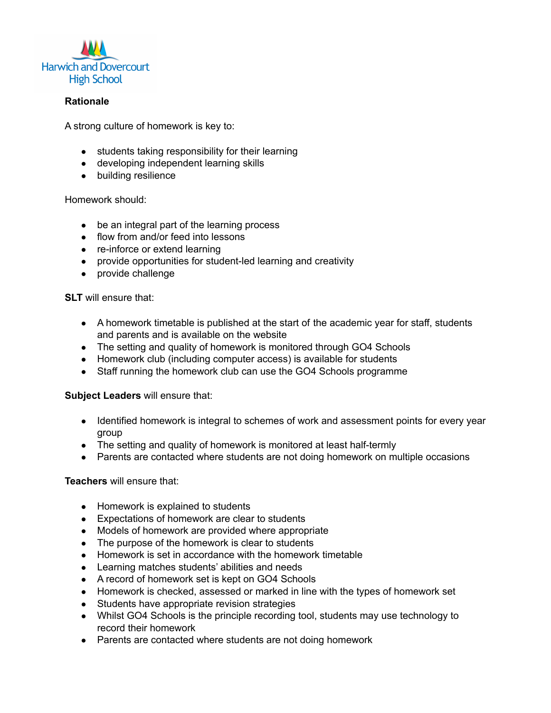

#### **Rationale**

A strong culture of homework is key to:

- students taking responsibility for their learning
- developing independent learning skills
- building resilience

Homework should:

- be an integral part of the learning process
- flow from and/or feed into lessons
- re-inforce or extend learning
- provide opportunities for student-led learning and creativity
- provide challenge

**SLT** will ensure that:

- A homework timetable is published at the start of the academic year for staff, students and parents and is available on the website
- The setting and quality of homework is monitored through GO4 Schools
- Homework club (including computer access) is available for students
- Staff running the homework club can use the GO4 Schools programme

#### **Subject Leaders** will ensure that:

- Identified homework is integral to schemes of work and assessment points for every year group
- The setting and quality of homework is monitored at least half-termly
- Parents are contacted where students are not doing homework on multiple occasions

#### **Teachers** will ensure that:

- Homework is explained to students
- Expectations of homework are clear to students
- Models of homework are provided where appropriate
- The purpose of the homework is clear to students
- Homework is set in accordance with the homework timetable
- Learning matches students' abilities and needs
- A record of homework set is kept on GO4 Schools
- Homework is checked, assessed or marked in line with the types of homework set
- Students have appropriate revision strategies
- Whilst GO4 Schools is the principle recording tool, students may use technology to record their homework
- Parents are contacted where students are not doing homework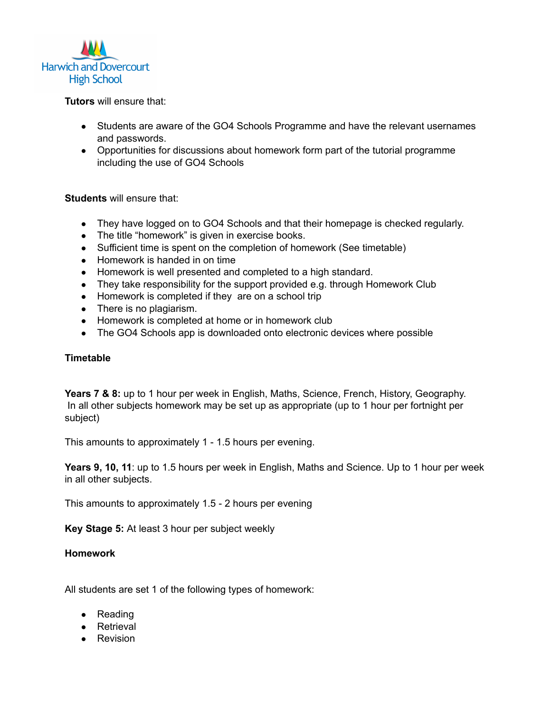

**Tutors** will ensure that:

- Students are aware of the GO4 Schools Programme and have the relevant usernames and passwords.
- Opportunities for discussions about homework form part of the tutorial programme including the use of GO4 Schools

#### **Students** will ensure that:

- They have logged on to GO4 Schools and that their homepage is checked regularly.
- The title "homework" is given in exercise books.
- Sufficient time is spent on the completion of homework (See timetable)
- Homework is handed in on time
- Homework is well presented and completed to a high standard.
- They take responsibility for the support provided e.g. through Homework Club
- Homework is completed if they are on a school trip
- There is no plagiarism.
- Homework is completed at home or in homework club
- The GO4 Schools app is downloaded onto electronic devices where possible

#### **Timetable**

**Years 7 & 8:** up to 1 hour per week in English, Maths, Science, French, History, Geography. In all other subjects homework may be set up as appropriate (up to 1 hour per fortnight per subject)

This amounts to approximately 1 - 1.5 hours per evening.

**Years 9, 10, 11**: up to 1.5 hours per week in English, Maths and Science. Up to 1 hour per week in all other subjects.

This amounts to approximately 1.5 - 2 hours per evening

**Key Stage 5:** At least 3 hour per subject weekly

#### **Homework**

All students are set 1 of the following types of homework:

- Reading
- Retrieval
- Revision